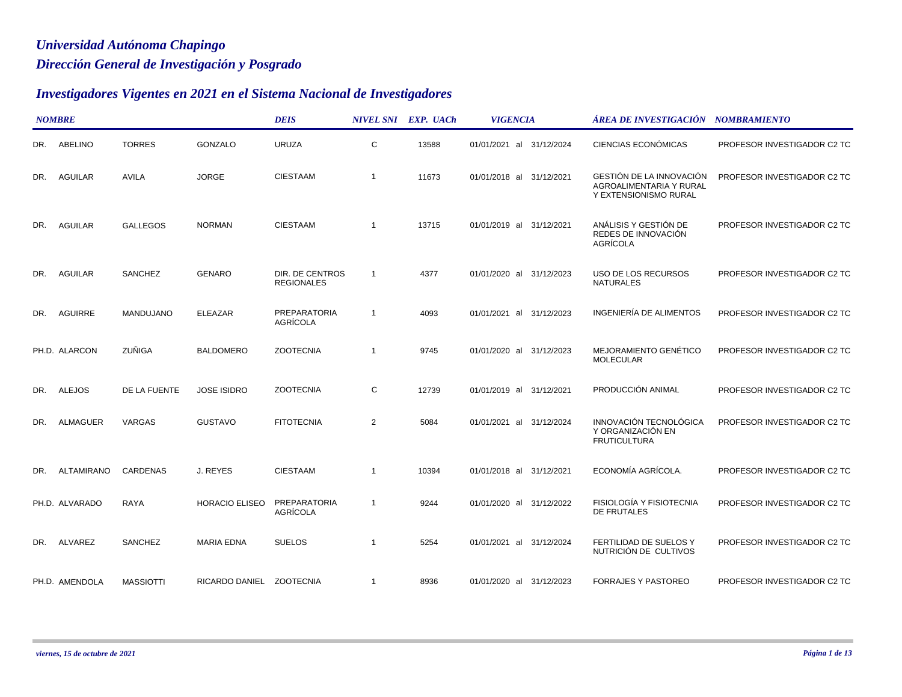## *Dirección General de Investigación y Posgrado Universidad Autónoma Chapingo*

## *Investigadores Vigentes en 2021 en el Sistema Nacional de Investigadores*

|     | <b>NOMBRE</b>     |                  |                          | <b>DEIS</b>                          |                         | NIVEL SNI EXP. UACh | <b>VIGENCIA</b>             | ÁREA DE INVESTIGACIÓN NOMBRAMIENTO                                           |                             |
|-----|-------------------|------------------|--------------------------|--------------------------------------|-------------------------|---------------------|-----------------------------|------------------------------------------------------------------------------|-----------------------------|
| DR. | ABELINO           | <b>TORRES</b>    | GONZALO                  | <b>URUZA</b>                         | C                       | 13588               | 01/01/2021 al 31/12/2024    | CIENCIAS ECONÓMICAS                                                          | PROFESOR INVESTIGADOR C2 TC |
| DR. | <b>AGUILAR</b>    | <b>AVILA</b>     | <b>JORGE</b>             | <b>CIESTAAM</b>                      | $\overline{\mathbf{1}}$ | 11673               | 01/01/2018 al 31/12/2021    | GESTIÓN DE LA INNOVACIÓN<br>AGROALIMENTARIA Y RURAL<br>Y EXTENSIONISMO RURAL | PROFESOR INVESTIGADOR C2 TC |
| DR. | <b>AGUILAR</b>    | <b>GALLEGOS</b>  | <b>NORMAN</b>            | <b>CIESTAAM</b>                      | $\overline{1}$          | 13715               | 01/01/2019 al 31/12/2021    | ANÁLISIS Y GESTIÓN DE<br>REDES DE INNOVACIÓN<br>AGRÍCOLA                     | PROFESOR INVESTIGADOR C2 TC |
| DR. | <b>AGUILAR</b>    | SANCHEZ          | <b>GENARO</b>            | DIR. DE CENTROS<br><b>REGIONALES</b> | $\overline{1}$          | 4377                | 01/01/2020 al 31/12/2023    | USO DE LOS RECURSOS<br><b>NATURALES</b>                                      | PROFESOR INVESTIGADOR C2 TC |
| DR. | AGUIRRE           | MANDUJANO        | <b>ELEAZAR</b>           | <b>PREPARATORIA</b><br>AGRÍCOLA      | $\overline{1}$          | 4093                | 01/01/2021 al 31/12/2023    | INGENIERÍA DE ALIMENTOS                                                      | PROFESOR INVESTIGADOR C2 TC |
|     | PH.D. ALARCON     | <b>ZUÑIGA</b>    | <b>BALDOMERO</b>         | <b>ZOOTECNIA</b>                     | $\overline{\mathbf{1}}$ | 9745                | 01/01/2020 al 31/12/2023    | MEJORAMIENTO GENÉTICO<br><b>MOLECULAR</b>                                    | PROFESOR INVESTIGADOR C2 TC |
| DR. | <b>ALEJOS</b>     | DE LA FUENTE     | <b>JOSE ISIDRO</b>       | <b>ZOOTECNIA</b>                     | С                       | 12739               | 01/01/2019 al 31/12/2021    | PRODUCCIÓN ANIMAL                                                            | PROFESOR INVESTIGADOR C2 TC |
| DR. | <b>ALMAGUER</b>   | <b>VARGAS</b>    | <b>GUSTAVO</b>           | <b>FITOTECNIA</b>                    | $\overline{2}$          | 5084                | 01/01/2021 al<br>31/12/2024 | INNOVACIÓN TECNOLÓGICA<br>Y ORGANIZACIÓN EN<br><b>FRUTICULTURA</b>           | PROFESOR INVESTIGADOR C2 TC |
| DR. | <b>ALTAMIRANO</b> | <b>CARDENAS</b>  | J. REYES                 | <b>CIESTAAM</b>                      | $\overline{1}$          | 10394               | 01/01/2018 al 31/12/2021    | ECONOMÍA AGRÍCOLA.                                                           | PROFESOR INVESTIGADOR C2 TC |
|     | PH.D. ALVARADO    | <b>RAYA</b>      | <b>HORACIO ELISEO</b>    | PREPARATORIA<br>AGRÍCOLA             | $\overline{1}$          | 9244                | 01/01/2020 al 31/12/2022    | FISIOLOGÍA Y FISIOTECNIA<br><b>DE FRUTALES</b>                               | PROFESOR INVESTIGADOR C2 TC |
|     | DR. ALVAREZ       | SANCHEZ          | <b>MARIA EDNA</b>        | <b>SUELOS</b>                        | -1                      | 5254                | 01/01/2021 al 31/12/2024    | FERTILIDAD DE SUELOS Y<br>NUTRICIÓN DE CULTIVOS                              | PROFESOR INVESTIGADOR C2 TC |
|     | PH.D. AMENDOLA    | <b>MASSIOTTI</b> | RICARDO DANIEL ZOOTECNIA |                                      | $\overline{1}$          | 8936                | 01/01/2020 al 31/12/2023    | <b>FORRAJES Y PASTOREO</b>                                                   | PROFESOR INVESTIGADOR C2 TC |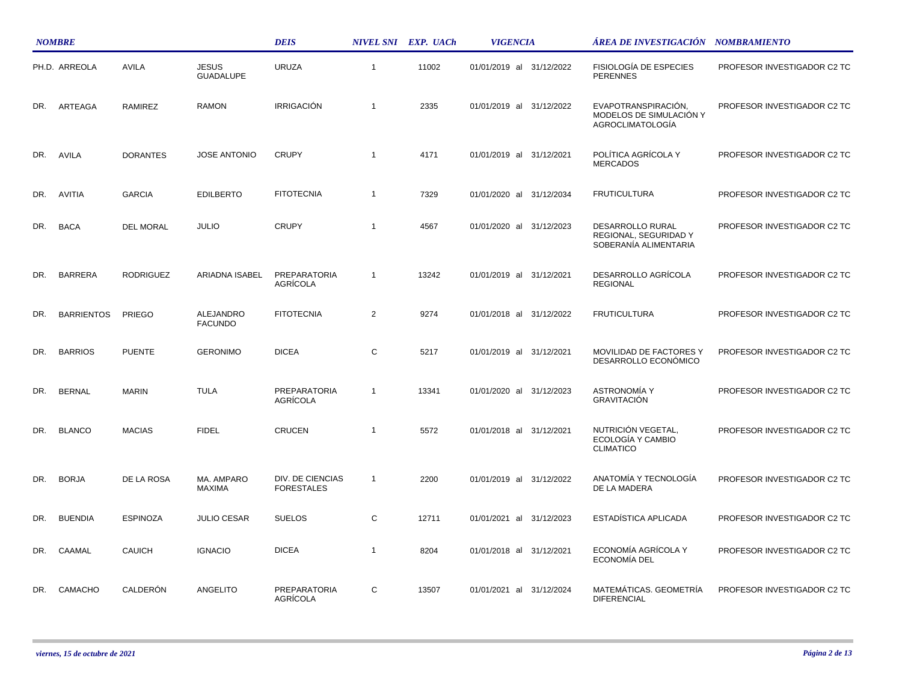|     | <b>NOMBRE</b>     |                  |                                  | <b>DEIS</b>                           |                | NIVEL SNI EXP. UACh | <b>VIGENCIA</b>          | ÁREA DE INVESTIGACIÓN NOMBRAMIENTO                                        |                             |
|-----|-------------------|------------------|----------------------------------|---------------------------------------|----------------|---------------------|--------------------------|---------------------------------------------------------------------------|-----------------------------|
|     | PH.D. ARREOLA     | AVILA            | <b>JESUS</b><br><b>GUADALUPE</b> | <b>URUZA</b>                          | $\mathbf{1}$   | 11002               | 01/01/2019 al 31/12/2022 | <b>FISIOLOGÍA DE ESPECIES</b><br><b>PERENNES</b>                          | PROFESOR INVESTIGADOR C2 TC |
| DR. | ARTEAGA           | <b>RAMIREZ</b>   | <b>RAMON</b>                     | <b>IRRIGACIÓN</b>                     | $\overline{1}$ | 2335                | 01/01/2019 al 31/12/2022 | EVAPOTRANSPIRACIÓN,<br>MODELOS DE SIMULACIÓN Y<br><b>AGROCLIMATOLOGÍA</b> | PROFESOR INVESTIGADOR C2 TC |
| DR. | AVILA             | <b>DORANTES</b>  | <b>JOSE ANTONIO</b>              | <b>CRUPY</b>                          | $\overline{1}$ | 4171                | 01/01/2019 al 31/12/2021 | POLÍTICA AGRÍCOLA Y<br><b>MERCADOS</b>                                    | PROFESOR INVESTIGADOR C2 TC |
| DR. | AVITIA            | <b>GARCIA</b>    | <b>EDILBERTO</b>                 | <b>FITOTECNIA</b>                     | $\overline{1}$ | 7329                | 01/01/2020 al 31/12/2034 | <b>FRUTICULTURA</b>                                                       | PROFESOR INVESTIGADOR C2 TC |
| DR. | <b>BACA</b>       | <b>DEL MORAL</b> | <b>JULIO</b>                     | <b>CRUPY</b>                          | $\overline{1}$ | 4567                | 01/01/2020 al 31/12/2023 | <b>DESARROLLO RURAL</b><br>REGIONAL, SEGURIDAD Y<br>SOBERANÍA ALIMENTARIA | PROFESOR INVESTIGADOR C2 TC |
| DR. | <b>BARRERA</b>    | <b>RODRIGUEZ</b> | ARIADNA ISABEL                   | <b>PREPARATORIA</b><br>AGRÍCOLA       | $\overline{1}$ | 13242               | 01/01/2019 al 31/12/2021 | DESARROLLO AGRÍCOLA<br><b>REGIONAL</b>                                    | PROFESOR INVESTIGADOR C2 TC |
| DR. | <b>BARRIENTOS</b> | <b>PRIEGO</b>    | ALEJANDRO<br><b>FACUNDO</b>      | <b>FITOTECNIA</b>                     | $\overline{2}$ | 9274                | 01/01/2018 al 31/12/2022 | <b>FRUTICULTURA</b>                                                       | PROFESOR INVESTIGADOR C2 TC |
| DR. | <b>BARRIOS</b>    | <b>PUENTE</b>    | <b>GERONIMO</b>                  | <b>DICEA</b>                          | C              | 5217                | 01/01/2019 al 31/12/2021 | MOVILIDAD DE FACTORES Y<br>DESARROLLO ECONÓMICO                           | PROFESOR INVESTIGADOR C2 TC |
| DR. | <b>BERNAL</b>     | <b>MARIN</b>     | <b>TULA</b>                      | <b>PREPARATORIA</b><br>AGRÍCOLA       | $\overline{1}$ | 13341               | 01/01/2020 al 31/12/2023 | <b>ASTRONOMÍA Y</b><br><b>GRAVITACIÓN</b>                                 | PROFESOR INVESTIGADOR C2 TC |
| DR. | <b>BLANCO</b>     | <b>MACIAS</b>    | <b>FIDEL</b>                     | <b>CRUCEN</b>                         | $\overline{1}$ | 5572                | 01/01/2018 al 31/12/2021 | NUTRICIÓN VEGETAL,<br>ECOLOGÍA Y CAMBIO<br><b>CLIMATICO</b>               | PROFESOR INVESTIGADOR C2 TC |
| DR. | <b>BORJA</b>      | DE LA ROSA       | MA. AMPARO<br><b>MAXIMA</b>      | DIV. DE CIENCIAS<br><b>FORESTALES</b> | $\mathbf{1}$   | 2200                | 01/01/2019 al 31/12/2022 | ANATOMÍA Y TECNOLOGÍA<br>DE LA MADERA                                     | PROFESOR INVESTIGADOR C2 TC |
| DR. | <b>BUENDIA</b>    | <b>ESPINOZA</b>  | <b>JULIO CESAR</b>               | <b>SUELOS</b>                         | C              | 12711               | 01/01/2021 al 31/12/2023 | ESTADÍSTICA APLICADA                                                      | PROFESOR INVESTIGADOR C2 TC |
| DR. | CAAMAL            | <b>CAUICH</b>    | <b>IGNACIO</b>                   | <b>DICEA</b>                          | $\overline{1}$ | 8204                | 01/01/2018 al 31/12/2021 | ECONOMÍA AGRÍCOLA Y<br>ECONOMÍA DEL                                       | PROFESOR INVESTIGADOR C2 TC |
| DR. | CAMACHO           | CALDERÓN         | ANGELITO                         | <b>PREPARATORIA</b><br>AGRÍCOLA       | С              | 13507               | 01/01/2021 al 31/12/2024 | MATEMÁTICAS. GEOMETRÍA<br><b>DIFERENCIAL</b>                              | PROFESOR INVESTIGADOR C2 TC |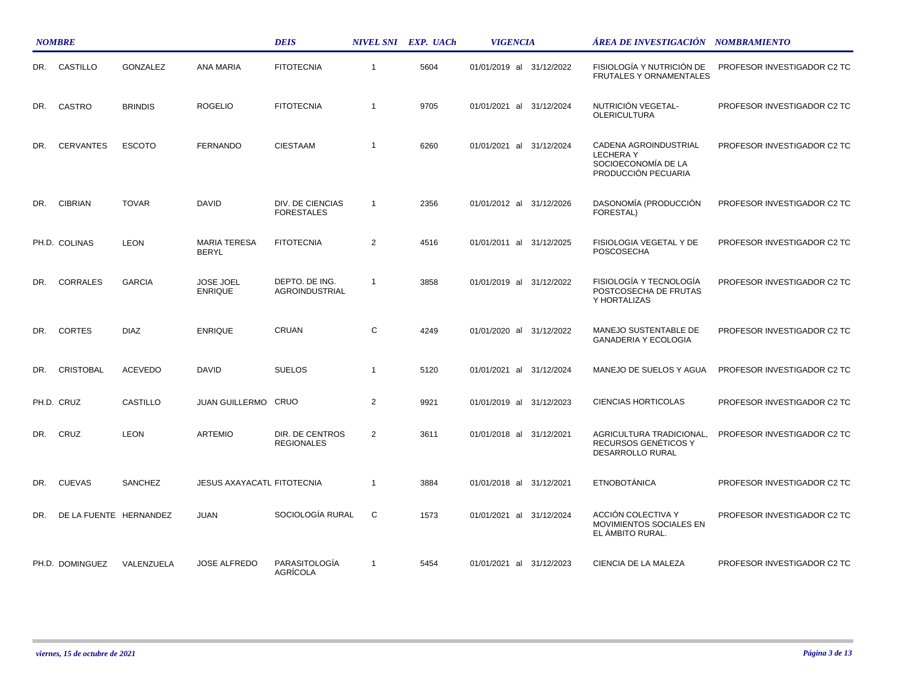|     | <b>NOMBRE</b>          |                |                                     | <b>DEIS</b>                           |                | NIVEL SNI EXP. UACh | <b>VIGENCIA</b>             | ÁREA DE INVESTIGACIÓN     NOMBRAMIENTO                                                 |                             |
|-----|------------------------|----------------|-------------------------------------|---------------------------------------|----------------|---------------------|-----------------------------|----------------------------------------------------------------------------------------|-----------------------------|
| DR. | CASTILLO               | GONZALEZ       | <b>ANA MARIA</b>                    | <b>FITOTECNIA</b>                     | $\overline{1}$ | 5604                | 01/01/2019 al 31/12/2022    | FISIOLOGÍA Y NUTRICIÓN DE<br><b>FRUTALES Y ORNAMENTALES</b>                            | PROFESOR INVESTIGADOR C2 TC |
| DR. | CASTRO                 | <b>BRINDIS</b> | <b>ROGELIO</b>                      | <b>FITOTECNIA</b>                     | $\overline{1}$ | 9705                | 01/01/2021 al 31/12/2024    | NUTRICIÓN VEGETAL-<br><b>OLERICULTURA</b>                                              | PROFESOR INVESTIGADOR C2 TC |
| DR. | <b>CERVANTES</b>       | <b>ESCOTO</b>  | <b>FERNANDO</b>                     | <b>CIESTAAM</b>                       | $\overline{1}$ | 6260                | 01/01/2021 al 31/12/2024    | CADENA AGROINDUSTRIAL<br><b>LECHERAY</b><br>SOCIOECONOMÍA DE LA<br>PRODUCCIÓN PECUARIA | PROFESOR INVESTIGADOR C2 TC |
| DR. | <b>CIBRIAN</b>         | <b>TOVAR</b>   | <b>DAVID</b>                        | DIV. DE CIENCIAS<br><b>FORESTALES</b> | $\overline{1}$ | 2356                | 01/01/2012 al 31/12/2026    | DASONOMÍA (PRODUCCIÓN<br>FORESTAL)                                                     | PROFESOR INVESTIGADOR C2 TC |
|     | PH.D. COLINAS          | <b>LEON</b>    | <b>MARIA TERESA</b><br><b>BERYL</b> | <b>FITOTECNIA</b>                     | 2              | 4516                | 01/01/2011 al<br>31/12/2025 | FISIOLOGIA VEGETAL Y DE<br>POSCOSECHA                                                  | PROFESOR INVESTIGADOR C2 TC |
| DR. | <b>CORRALES</b>        | <b>GARCIA</b>  | <b>JOSE JOEL</b><br><b>ENRIQUE</b>  | DEPTO. DE ING.<br>AGROINDUSTRIAL      | $\overline{1}$ | 3858                | 01/01/2019 al 31/12/2022    | FISIOLOGÍA Y TECNOLOGÍA<br>POSTCOSECHA DE FRUTAS<br>Y HORTALIZAS                       | PROFESOR INVESTIGADOR C2 TC |
| DR. | <b>CORTES</b>          | <b>DIAZ</b>    | <b>ENRIQUE</b>                      | CRUAN                                 | C              | 4249                | 01/01/2020 al<br>31/12/2022 | MANEJO SUSTENTABLE DE<br><b>GANADERIA Y ECOLOGIA</b>                                   | PROFESOR INVESTIGADOR C2 TC |
| DR. | <b>CRISTOBAL</b>       | <b>ACEVEDO</b> | <b>DAVID</b>                        | <b>SUELOS</b>                         | $\overline{1}$ | 5120                | 01/01/2021 al 31/12/2024    | MANEJO DE SUELOS Y AGUA                                                                | PROFESOR INVESTIGADOR C2 TC |
|     | PH.D. CRUZ             | CASTILLO       | JUAN GUILLERMO CRUO                 |                                       | $\overline{2}$ | 9921                | 01/01/2019 al 31/12/2023    | <b>CIENCIAS HORTICOLAS</b>                                                             | PROFESOR INVESTIGADOR C2 TC |
| DR. | CRUZ                   | <b>LEON</b>    | <b>ARTEMIO</b>                      | DIR. DE CENTROS<br><b>REGIONALES</b>  | 2              | 3611                | 01/01/2018 al 31/12/2021    | AGRICULTURA TRADICIONAL,<br>RECURSOS GENÉTICOS Y<br>DESARROLLO RURAL                   | PROFESOR INVESTIGADOR C2 TC |
| DR. | <b>CUEVAS</b>          | SANCHEZ        | <b>JESUS AXAYACATL FITOTECNIA</b>   |                                       | $\overline{1}$ | 3884                | 01/01/2018 al<br>31/12/2021 | <b>ETNOBOTÁNICA</b>                                                                    | PROFESOR INVESTIGADOR C2 TC |
| DR. | DE LA FUENTE HERNANDEZ |                | <b>JUAN</b>                         | SOCIOLOGÍA RURAL                      | C              | 1573                | 01/01/2021 al 31/12/2024    | ACCIÓN COLECTIVA Y<br><b>MOVIMIENTOS SOCIALES EN</b><br>EL AMBITO RURAL.               | PROFESOR INVESTIGADOR C2 TC |
|     | PH.D. DOMINGUEZ        | VALENZUELA     | <b>JOSE ALFREDO</b>                 | PARASITOLOGÍA<br>AGRÍCOLA             | $\overline{1}$ | 5454                | 01/01/2021 al 31/12/2023    | CIENCIA DE LA MALEZA                                                                   | PROFESOR INVESTIGADOR C2 TC |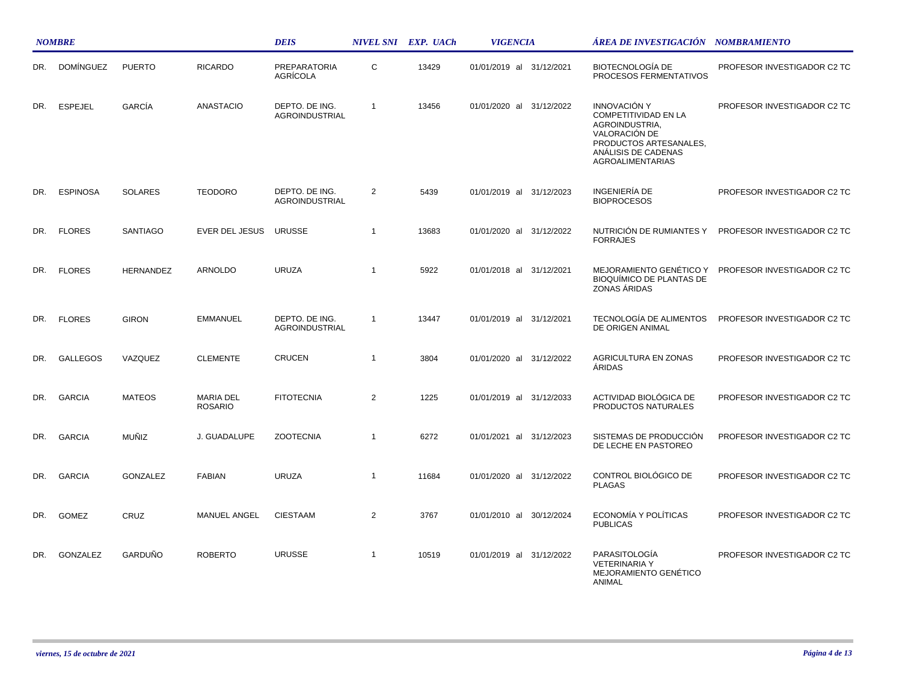|     | <b>NOMBRE</b>    |                  |                                    | <b>DEIS</b>                            |                | NIVEL SNI EXP. UACh | <b>VIGENCIA</b>             | ÁREA DE INVESTIGACIÓN NOMBRAMIENTO                                                                                                                         |                             |
|-----|------------------|------------------|------------------------------------|----------------------------------------|----------------|---------------------|-----------------------------|------------------------------------------------------------------------------------------------------------------------------------------------------------|-----------------------------|
| DR. | <b>DOMÍNGUEZ</b> | <b>PUERTO</b>    | <b>RICARDO</b>                     | <b>PREPARATORIA</b><br><b>AGRICOLA</b> | C              | 13429               | 01/01/2019 al 31/12/2021    | <b>BIOTECNOLOGÍA DE</b><br>PROCESOS FERMENTATIVOS                                                                                                          | PROFESOR INVESTIGADOR C2 TC |
| DR. | <b>ESPEJEL</b>   | GARCÍA           | <b>ANASTACIO</b>                   | DEPTO. DE ING.<br>AGROINDUSTRIAL       | $\overline{1}$ | 13456               | 01/01/2020 al 31/12/2022    | <b>INNOVACIÓN Y</b><br>COMPETITIVIDAD EN LA<br>AGROINDUSTRIA.<br>VALORACIÓN DE<br>PRODUCTOS ARTESANALES,<br>ANÁLISIS DE CADENAS<br><b>AGROALIMENTARIAS</b> | PROFESOR INVESTIGADOR C2 TC |
| DR. | <b>ESPINOSA</b>  | <b>SOLARES</b>   | <b>TEODORO</b>                     | DEPTO. DE ING.<br>AGROINDUSTRIAL       | 2              | 5439                | 01/01/2019 al 31/12/2023    | INGENIERÍA DE<br><b>BIOPROCESOS</b>                                                                                                                        | PROFESOR INVESTIGADOR C2 TC |
| DR. | <b>FLORES</b>    | <b>SANTIAGO</b>  | EVER DEL JESUS                     | <b>URUSSE</b>                          | $\overline{1}$ | 13683               | 01/01/2020 al<br>31/12/2022 | NUTRICIÓN DE RUMIANTES Y<br><b>FORRAJES</b>                                                                                                                | PROFESOR INVESTIGADOR C2 TC |
| DR. | <b>FLORES</b>    | <b>HERNANDEZ</b> | <b>ARNOLDO</b>                     | <b>URUZA</b>                           | $\overline{1}$ | 5922                | 01/01/2018 al 31/12/2021    | MEJORAMIENTO GENÉTICO Y<br><b>BIOQUÍMICO DE PLANTAS DE</b><br>ZONAS ÁRIDAS                                                                                 | PROFESOR INVESTIGADOR C2 TC |
| DR. | <b>FLORES</b>    | <b>GIRON</b>     | <b>EMMANUEL</b>                    | DEPTO. DE ING.<br>AGROINDUSTRIAL       | $\overline{1}$ | 13447               | 01/01/2019 al 31/12/2021    | TECNOLOGÍA DE ALIMENTOS<br>DE ORIGEN ANIMAL                                                                                                                | PROFESOR INVESTIGADOR C2 TC |
| DR. | <b>GALLEGOS</b>  | VAZQUEZ          | <b>CLEMENTE</b>                    | <b>CRUCEN</b>                          | $\overline{1}$ | 3804                | 01/01/2020 al 31/12/2022    | AGRICULTURA EN ZONAS<br><b>ÁRIDAS</b>                                                                                                                      | PROFESOR INVESTIGADOR C2 TC |
| DR. | <b>GARCIA</b>    | <b>MATEOS</b>    | <b>MARIA DEL</b><br><b>ROSARIO</b> | <b>FITOTECNIA</b>                      | 2              | 1225                | 01/01/2019 al 31/12/2033    | ACTIVIDAD BIOLÓGICA DE<br>PRODUCTOS NATURALES                                                                                                              | PROFESOR INVESTIGADOR C2 TC |
| DR. | <b>GARCIA</b>    | MUÑIZ            | J. GUADALUPE                       | <b>ZOOTECNIA</b>                       | $\overline{1}$ | 6272                | 01/01/2021 al 31/12/2023    | SISTEMAS DE PRODUCCIÓN<br>DE LECHE EN PASTOREO                                                                                                             | PROFESOR INVESTIGADOR C2 TC |
| DR. | <b>GARCIA</b>    | GONZALEZ         | <b>FABIAN</b>                      | <b>URUZA</b>                           | $\overline{1}$ | 11684               | 01/01/2020 al 31/12/2022    | CONTROL BIOLÓGICO DE<br><b>PLAGAS</b>                                                                                                                      | PROFESOR INVESTIGADOR C2 TC |
| DR. | <b>GOMEZ</b>     | CRUZ             | <b>MANUEL ANGEL</b>                | <b>CIESTAAM</b>                        | $\overline{2}$ | 3767                | 01/01/2010 al<br>30/12/2024 | ECONOMÍA Y POLÍTICAS<br><b>PUBLICAS</b>                                                                                                                    | PROFESOR INVESTIGADOR C2 TC |
| DR. | GONZALEZ         | GARDUÑO          | <b>ROBERTO</b>                     | <b>URUSSE</b>                          | $\overline{1}$ | 10519               | 01/01/2019 al 31/12/2022    | PARASITOLOGÍA<br><b>VETERINARIA Y</b><br>MEJORAMIENTO GENÉTICO<br>ANIMAL                                                                                   | PROFESOR INVESTIGADOR C2 TC |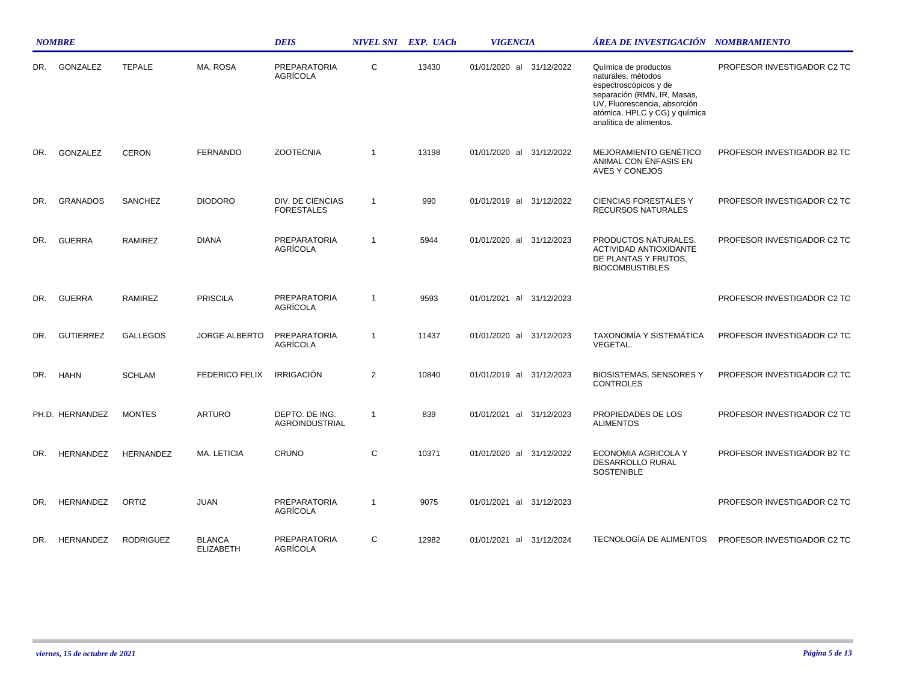|     | <b>NOMBRE</b>    |                  |                                   | <b>DEIS</b>                             |                | NIVEL SNI EXP. UACh | <b>VIGENCIA</b>             | ÁREA DE INVESTIGACIÓN NOMBRAMIENTO                                                                                                                                                             |                             |
|-----|------------------|------------------|-----------------------------------|-----------------------------------------|----------------|---------------------|-----------------------------|------------------------------------------------------------------------------------------------------------------------------------------------------------------------------------------------|-----------------------------|
| DR. | GONZALEZ         | <b>TEPALE</b>    | MA. ROSA                          | <b>PREPARATORIA</b><br>AGRÍCOLA         | C              | 13430               | 01/01/2020 al 31/12/2022    | Química de productos<br>naturales, métodos<br>espectroscópicos y de<br>separación (RMN, IR, Masas,<br>UV, Fluorescencia, absorción<br>atómica, HPLC y CG) y química<br>analítica de alimentos. | PROFESOR INVESTIGADOR C2 TC |
| DR. | GONZALEZ         | <b>CERON</b>     | <b>FERNANDO</b>                   | <b>ZOOTECNIA</b>                        | -1             | 13198               | 01/01/2020 al 31/12/2022    | MEJORAMIENTO GENÉTICO<br>ANIMAL CON ÉNFASIS EN<br><b>AVES Y CONEJOS</b>                                                                                                                        | PROFESOR INVESTIGADOR B2 TC |
| DR. | <b>GRANADOS</b>  | <b>SANCHEZ</b>   | <b>DIODORO</b>                    | DIV. DE CIENCIAS<br><b>FORESTALES</b>   | $\overline{1}$ | 990                 | 01/01/2019 al 31/12/2022    | <b>CIENCIAS FORESTALES Y</b><br>RECURSOS NATURALES                                                                                                                                             | PROFESOR INVESTIGADOR C2 TC |
| DR. | <b>GUERRA</b>    | <b>RAMIREZ</b>   | <b>DIANA</b>                      | <b>PREPARATORIA</b><br>AGRÍCOLA         | $\overline{1}$ | 5944                | 01/01/2020 al 31/12/2023    | PRODUCTOS NATURALES.<br><b>ACTIVIDAD ANTIOXIDANTE</b><br>DE PLANTAS Y FRUTOS,<br><b>BIOCOMBUSTIBLES</b>                                                                                        | PROFESOR INVESTIGADOR C2 TC |
| DR. | <b>GUERRA</b>    | RAMIREZ          | <b>PRISCILA</b>                   | <b>PREPARATORIA</b><br>AGRÍCOLA         | $\overline{1}$ | 9593                | 01/01/2021 al 31/12/2023    |                                                                                                                                                                                                | PROFESOR INVESTIGADOR C2 TC |
| DR. | <b>GUTIERREZ</b> | <b>GALLEGOS</b>  | <b>JORGE ALBERTO</b>              | <b>PREPARATORIA</b><br>AGRÍCOLA         | $\mathbf{1}$   | 11437               | 01/01/2020 al 31/12/2023    | TAXONOMÍA Y SISTEMÁTICA<br>VEGETAL.                                                                                                                                                            | PROFESOR INVESTIGADOR C2 TC |
| DR. | <b>HAHN</b>      | <b>SCHLAM</b>    | <b>FEDERICO FELIX</b>             | <b>IRRIGACIÓN</b>                       | $\overline{2}$ | 10840               | 01/01/2019 al 31/12/2023    | <b>BIOSISTEMAS, SENSORES Y</b><br><b>CONTROLES</b>                                                                                                                                             | PROFESOR INVESTIGADOR C2 TC |
|     | PH.D. HERNANDEZ  | <b>MONTES</b>    | <b>ARTURO</b>                     | DEPTO. DE ING.<br><b>AGROINDUSTRIAL</b> | $\mathbf{1}$   | 839                 | 01/01/2021 al<br>31/12/2023 | PROPIEDADES DE LOS<br><b>ALIMENTOS</b>                                                                                                                                                         | PROFESOR INVESTIGADOR C2 TC |
| DR. | <b>HERNANDEZ</b> | <b>HERNANDEZ</b> | MA. LETICIA                       | <b>CRUNO</b>                            | C              | 10371               | 01/01/2020 al 31/12/2022    | ECONOMIA AGRICOLA Y<br><b>DESARROLLO RURAL</b><br><b>SOSTENIBLE</b>                                                                                                                            | PROFESOR INVESTIGADOR B2 TC |
| DR. | HERNANDEZ        | ORTIZ            | JUAN                              | <b>PREPARATORIA</b><br>AGRÍCOLA         | $\overline{1}$ | 9075                | 01/01/2021 al 31/12/2023    |                                                                                                                                                                                                | PROFESOR INVESTIGADOR C2 TC |
| DR. | <b>HERNANDEZ</b> | <b>RODRIGUEZ</b> | <b>BLANCA</b><br><b>ELIZABETH</b> | <b>PREPARATORIA</b><br>AGRÍCOLA         | C              | 12982               | 01/01/2021 al 31/12/2024    | TECNOLOGÍA DE ALIMENTOS                                                                                                                                                                        | PROFESOR INVESTIGADOR C2 TC |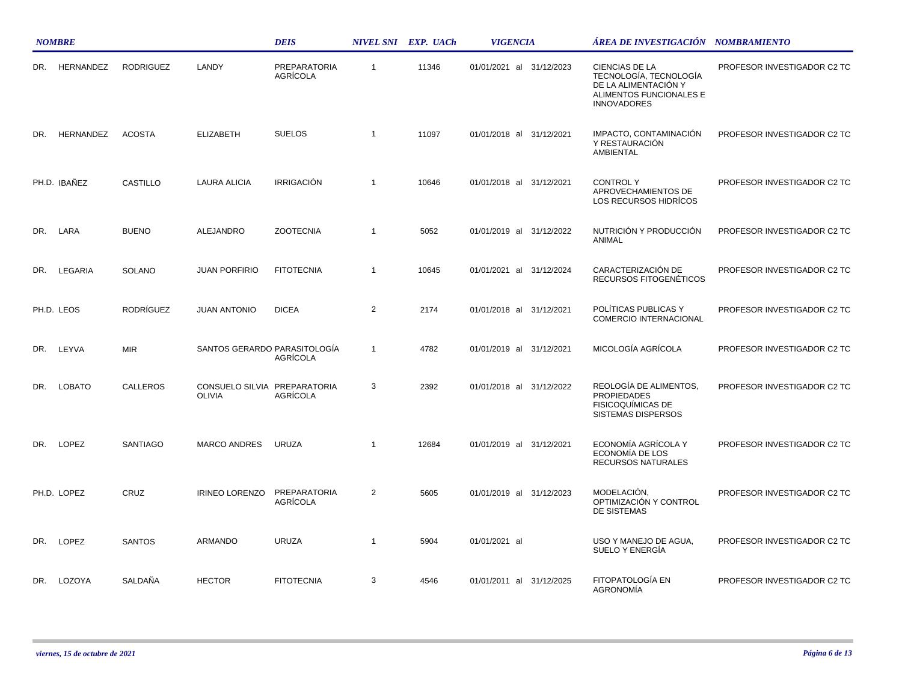|     | <b>NOMBRE</b> |                  |                                               | <b>DEIS</b>              |                | NIVEL SNI EXP. UACh | <b>VIGENCIA</b>          | ÁREA DE INVESTIGACIÓN NOMBRAMIENTO                                                                                |                             |  |
|-----|---------------|------------------|-----------------------------------------------|--------------------------|----------------|---------------------|--------------------------|-------------------------------------------------------------------------------------------------------------------|-----------------------------|--|
| DR. | HERNANDEZ     | <b>RODRIGUEZ</b> | LANDY                                         | PREPARATORIA<br>AGRÍCOLA | $\mathbf{1}$   | 11346               | 01/01/2021 al 31/12/2023 | CIENCIAS DE LA<br>TECNOLOGÍA, TECNOLOGÍA<br>DE LA ALIMENTACIÓN Y<br>ALIMENTOS FUNCIONALES E<br><b>INNOVADORES</b> | PROFESOR INVESTIGADOR C2 TC |  |
| DR. | HERNANDEZ     | <b>ACOSTA</b>    | <b>ELIZABETH</b>                              | <b>SUELOS</b>            | $\mathbf{1}$   | 11097               | 01/01/2018 al 31/12/2021 | IMPACTO, CONTAMINACIÓN<br>Y RESTAURACIÓN<br><b>AMBIENTAL</b>                                                      | PROFESOR INVESTIGADOR C2 TC |  |
|     | PH.D. IBANEZ  | CASTILLO         | <b>LAURA ALICIA</b>                           | <b>IRRIGACIÓN</b>        | $\mathbf{1}$   | 10646               | 01/01/2018 al 31/12/2021 | <b>CONTROLY</b><br>APROVECHAMIENTOS DE<br>LOS RECURSOS HIDRÍCOS                                                   | PROFESOR INVESTIGADOR C2 TC |  |
|     | DR. LARA      | <b>BUENO</b>     | <b>ALEJANDRO</b>                              | <b>ZOOTECNIA</b>         | $\mathbf{1}$   | 5052                | 01/01/2019 al 31/12/2022 | NUTRICIÓN Y PRODUCCIÓN<br>ANIMAL                                                                                  | PROFESOR INVESTIGADOR C2 TC |  |
| DR. | LEGARIA       | SOLANO           | <b>JUAN PORFIRIO</b>                          | <b>FITOTECNIA</b>        | $\mathbf{1}$   | 10645               | 01/01/2021 al 31/12/2024 | CARACTERIZACIÓN DE<br>RECURSOS FITOGENÉTICOS                                                                      | PROFESOR INVESTIGADOR C2 TC |  |
|     | PH.D. LEOS    | <b>RODRÍGUEZ</b> | <b>JUAN ANTONIO</b>                           | <b>DICEA</b>             | $\overline{2}$ | 2174                | 01/01/2018 al 31/12/2021 | POLÍTICAS PUBLICAS Y<br>COMERCIO INTERNACIONAL                                                                    | PROFESOR INVESTIGADOR C2 TC |  |
| DR. | LEYVA         | <b>MIR</b>       | SANTOS GERARDO PARASITOLOGÍA                  | AGRÍCOLA                 | $\mathbf{1}$   | 4782                | 01/01/2019 al 31/12/2021 | MICOLOGÍA AGRÍCOLA                                                                                                | PROFESOR INVESTIGADOR C2 TC |  |
| DR. | LOBATO        | CALLEROS         | CONSUELO SILVIA PREPARATORIA<br><b>OLIVIA</b> | AGRÍCOLA                 | 3              | 2392                | 01/01/2018 al 31/12/2022 | REOLOGÍA DE ALIMENTOS,<br><b>PROPIEDADES</b><br><b>FISICOQUÍMICAS DE</b><br><b>SISTEMAS DISPERSOS</b>             | PROFESOR INVESTIGADOR C2 TC |  |
| DR. | LOPEZ         | <b>SANTIAGO</b>  | <b>MARCO ANDRES</b>                           | <b>URUZA</b>             | $\mathbf{1}$   | 12684               | 01/01/2019 al 31/12/2021 | ECONOMÍA AGRÍCOLA Y<br>ECONOMÍA DE LOS<br>RECURSOS NATURALES                                                      | PROFESOR INVESTIGADOR C2 TC |  |
|     | PH.D. LOPEZ   | CRUZ             | <b>IRINEO LORENZO</b>                         | PREPARATORIA<br>AGRÍCOLA | 2              | 5605                | 01/01/2019 al 31/12/2023 | MODELACIÓN,<br>OPTIMIZACIÓN Y CONTROL<br>DE SISTEMAS                                                              | PROFESOR INVESTIGADOR C2 TC |  |
| DR. | LOPEZ         | <b>SANTOS</b>    | <b>ARMANDO</b>                                | <b>URUZA</b>             | $\overline{1}$ | 5904                | 01/01/2021 al            | USO Y MANEJO DE AGUA,<br>SUELO Y ENERGÍA                                                                          | PROFESOR INVESTIGADOR C2 TC |  |
| DR. | LOZOYA        | SALDAÑA          | <b>HECTOR</b>                                 | <b>FITOTECNIA</b>        | 3              | 4546                | 01/01/2011 al 31/12/2025 | FITOPATOLOGÍA EN<br><b>AGRONOMÍA</b>                                                                              | PROFESOR INVESTIGADOR C2 TC |  |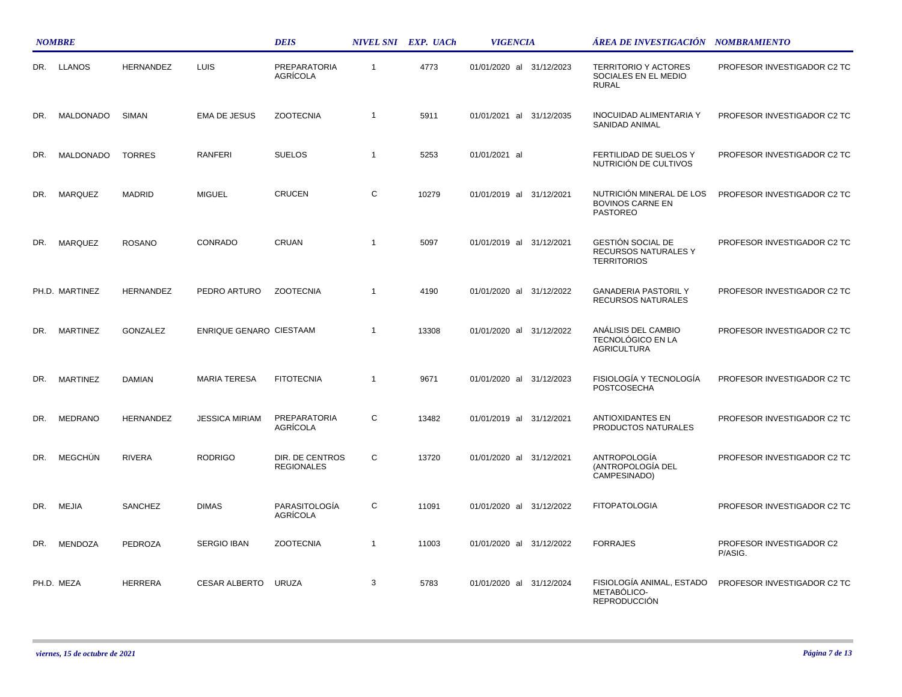|     | <b>NOMBRE</b>   |                  |                         | <b>DEIS</b>                          |              | NIVEL SNI EXP. UACh | <b>VIGENCIA</b>             | ÁREA DE INVESTIGACIÓN NOMBRAMIENTO                                     |                                     |
|-----|-----------------|------------------|-------------------------|--------------------------------------|--------------|---------------------|-----------------------------|------------------------------------------------------------------------|-------------------------------------|
| DR. | LLANOS          | <b>HERNANDEZ</b> | <b>LUIS</b>             | <b>PREPARATORIA</b><br>AGRÍCOLA      | $\mathbf{1}$ | 4773                | 01/01/2020 al 31/12/2023    | <b>TERRITORIO Y ACTORES</b><br>SOCIALES EN EL MEDIO<br><b>RURAL</b>    | PROFESOR INVESTIGADOR C2 TC         |
| DR. | MALDONADO       | <b>SIMAN</b>     | <b>EMA DE JESUS</b>     | <b>ZOOTECNIA</b>                     | $\mathbf{1}$ | 5911                | 01/01/2021 al<br>31/12/2035 | <b>INOCUIDAD ALIMENTARIA Y</b><br>SANIDAD ANIMAL                       | PROFESOR INVESTIGADOR C2 TC         |
| DR. | MALDONADO       | <b>TORRES</b>    | RANFERI                 | <b>SUELOS</b>                        | $\mathbf{1}$ | 5253                | 01/01/2021 al               | FERTILIDAD DE SUELOS Y<br>NUTRICIÓN DE CULTIVOS                        | PROFESOR INVESTIGADOR C2 TC         |
| DR. | <b>MARQUEZ</b>  | <b>MADRID</b>    | <b>MIGUEL</b>           | <b>CRUCEN</b>                        | $\mathsf{C}$ | 10279               | 01/01/2019 al 31/12/2021    | NUTRICIÓN MINERAL DE LOS<br><b>BOVINOS CARNE EN</b><br><b>PASTOREO</b> | PROFESOR INVESTIGADOR C2 TC         |
| DR. | MARQUEZ         | <b>ROSANO</b>    | CONRADO                 | CRUAN                                | $\mathbf{1}$ | 5097                | 01/01/2019 al 31/12/2021    | GESTIÓN SOCIAL DE<br>RECURSOS NATURALES Y<br><b>TERRITORIOS</b>        | PROFESOR INVESTIGADOR C2 TC         |
|     | PH.D. MARTINEZ  | <b>HERNANDEZ</b> | PEDRO ARTURO            | <b>ZOOTECNIA</b>                     | $\mathbf{1}$ | 4190                | 01/01/2020 al 31/12/2022    | <b>GANADERIA PASTORIL Y</b><br>RECURSOS NATURALES                      | PROFESOR INVESTIGADOR C2 TC         |
| DR. | <b>MARTINEZ</b> | <b>GONZALEZ</b>  | ENRIQUE GENARO CIESTAAM |                                      | $\mathbf{1}$ | 13308               | 01/01/2020 al 31/12/2022    | ANÁLISIS DEL CAMBIO<br>TECNOLÓGICO EN LA<br><b>AGRICULTURA</b>         | PROFESOR INVESTIGADOR C2 TC         |
| DR. | <b>MARTINEZ</b> | <b>DAMIAN</b>    | <b>MARIA TERESA</b>     | <b>FITOTECNIA</b>                    | $\mathbf{1}$ | 9671                | 01/01/2020 al 31/12/2023    | FISIOLOGÍA Y TECNOLOGÍA<br>POSTCOSECHA                                 | PROFESOR INVESTIGADOR C2 TC         |
| DR. | <b>MEDRANO</b>  | <b>HERNANDEZ</b> | <b>JESSICA MIRIAM</b>   | <b>PREPARATORIA</b><br>AGRÍCOLA      | C            | 13482               | 01/01/2019 al 31/12/2021    | ANTIOXIDANTES EN<br>PRODUCTOS NATURALES                                | PROFESOR INVESTIGADOR C2 TC         |
| DR. | MEGCHUN         | <b>RIVERA</b>    | <b>RODRIGO</b>          | DIR. DE CENTROS<br><b>REGIONALES</b> | C            | 13720               | 01/01/2020 al 31/12/2021    | ANTROPOLOGÍA<br>(ANTROPOLOGÍA DEL<br>CAMPESINADO)                      | PROFESOR INVESTIGADOR C2 TC         |
| DR. | <b>MEJIA</b>    | SANCHEZ          | <b>DIMAS</b>            | PARASITOLOGÍA<br>AGRÍCOLA            | C            | 11091               | 01/01/2020 al 31/12/2022    | <b>FITOPATOLOGIA</b>                                                   | PROFESOR INVESTIGADOR C2 TC         |
| DR. | <b>MENDOZA</b>  | <b>PEDROZA</b>   | <b>SERGIO IBAN</b>      | <b>ZOOTECNIA</b>                     | $\mathbf{1}$ | 11003               | 01/01/2020 al 31/12/2022    | <b>FORRAJES</b>                                                        | PROFESOR INVESTIGADOR C2<br>P/ASIG. |
|     | PH.D. MEZA      | <b>HERRERA</b>   | <b>CESAR ALBERTO</b>    | URUZA                                | 3            | 5783                | 01/01/2020 al 31/12/2024    | FISIOLOGÍA ANIMAL, ESTADO<br>METABÓLICO-<br><b>REPRODUCCIÓN</b>        | PROFESOR INVESTIGADOR C2 TC         |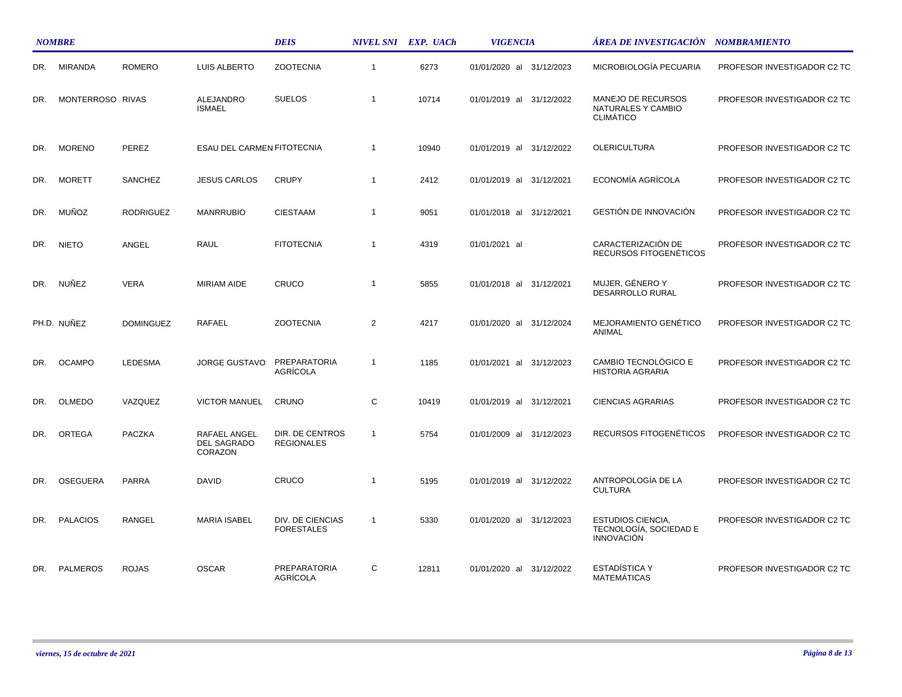|     | <b>NOMBRE</b>    |                  |                                               | <b>DEIS</b>                           |                | NIVEL SNI EXP. UACh | <b>VIGENCIA</b>          | ÁREA DE INVESTIGACIÓN NOMBRAMIENTO                               |                             |
|-----|------------------|------------------|-----------------------------------------------|---------------------------------------|----------------|---------------------|--------------------------|------------------------------------------------------------------|-----------------------------|
| DR. | <b>MIRANDA</b>   | <b>ROMERO</b>    | LUIS ALBERTO                                  | <b>ZOOTECNIA</b>                      | $\overline{1}$ | 6273                | 01/01/2020 al 31/12/2023 | MICROBIOLOGÍA PECUARIA                                           | PROFESOR INVESTIGADOR C2 TC |
| DR. | MONTERROSO RIVAS |                  | ALEJANDRO<br><b>ISMAEL</b>                    | <b>SUELOS</b>                         | $\overline{1}$ | 10714               | 01/01/2019 al 31/12/2022 | MANEJO DE RECURSOS<br>NATURALES Y CAMBIO<br><b>CLIMÁTICO</b>     | PROFESOR INVESTIGADOR C2 TC |
| DR. | <b>MORENO</b>    | PEREZ            | ESAU DEL CARMEN FITOTECNIA                    |                                       | $\overline{1}$ | 10940               | 01/01/2019 al 31/12/2022 | <b>OLERICULTURA</b>                                              | PROFESOR INVESTIGADOR C2 TC |
| DR. | <b>MORETT</b>    | SANCHEZ          | <b>JESUS CARLOS</b>                           | <b>CRUPY</b>                          | $\overline{1}$ | 2412                | 01/01/2019 al 31/12/2021 | ECONOMÍA AGRÍCOLA                                                | PROFESOR INVESTIGADOR C2 TC |
| DR. | <b>MUÑOZ</b>     | <b>RODRIGUEZ</b> | <b>MANRRUBIO</b>                              | <b>CIESTAAM</b>                       | $\overline{1}$ | 9051                | 01/01/2018 al 31/12/2021 | GESTIÓN DE INNOVACIÓN                                            | PROFESOR INVESTIGADOR C2 TC |
| DR. | <b>NIETO</b>     | ANGEL            | <b>RAUL</b>                                   | <b>FITOTECNIA</b>                     | $\overline{1}$ | 4319                | 01/01/2021 al            | CARACTERIZACIÓN DE<br>RECURSOS FITOGENÉTICOS                     | PROFESOR INVESTIGADOR C2 TC |
| DR. | <b>NUÑEZ</b>     | <b>VERA</b>      | <b>MIRIAM AIDE</b>                            | CRUCO                                 | $\overline{1}$ | 5855                | 01/01/2018 al 31/12/2021 | MUJER, GÉNERO Y<br><b>DESARROLLO RURAL</b>                       | PROFESOR INVESTIGADOR C2 TC |
|     | PH.D. NUÑEZ      | <b>DOMINGUEZ</b> | RAFAEL                                        | <b>ZOOTECNIA</b>                      | 2              | 4217                | 01/01/2020 al 31/12/2024 | MEJORAMIENTO GENÉTICO<br>ANIMAL                                  | PROFESOR INVESTIGADOR C2 TC |
| DR. | <b>OCAMPO</b>    | LEDESMA          | <b>JORGE GUSTAVO</b>                          | PREPARATORIA<br>AGRÍCOLA              | $\mathbf{1}$   | 1185                | 01/01/2021 al 31/12/2023 | CAMBIO TECNOLÓGICO E<br><b>HISTORIA AGRARIA</b>                  | PROFESOR INVESTIGADOR C2 TC |
| DR. | <b>OLMEDO</b>    | VAZQUEZ          | <b>VICTOR MANUEL</b>                          | CRUNO                                 | $\mathsf{C}$   | 10419               | 01/01/2019 al 31/12/2021 | <b>CIENCIAS AGRARIAS</b>                                         | PROFESOR INVESTIGADOR C2 TC |
| DR. | ORTEGA           | PACZKA           | RAFAEL ANGEL<br><b>DEL SAGRADO</b><br>CORAZON | DIR. DE CENTROS<br><b>REGIONALES</b>  | $\overline{1}$ | 5754                | 01/01/2009 al 31/12/2023 | RECURSOS FITOGENÉTICOS                                           | PROFESOR INVESTIGADOR C2 TC |
| DR. | OSEGUERA         | PARRA            | <b>DAVID</b>                                  | CRUCO                                 | $\overline{1}$ | 5195                | 01/01/2019 al 31/12/2022 | ANTROPOLOGÍA DE LA<br><b>CULTURA</b>                             | PROFESOR INVESTIGADOR C2 TC |
| DR. | <b>PALACIOS</b>  | <b>RANGEL</b>    | <b>MARIA ISABEL</b>                           | DIV. DE CIENCIAS<br><b>FORESTALES</b> | $\overline{1}$ | 5330                | 01/01/2020 al 31/12/2023 | ESTUDIOS CIENCIA,<br>TECNOLOGÍA, SOCIEDAD E<br><b>INNOVACIÓN</b> | PROFESOR INVESTIGADOR C2 TC |
| DR. | <b>PALMEROS</b>  | <b>ROJAS</b>     | <b>OSCAR</b>                                  | <b>PREPARATORIA</b><br>AGRÍCOLA       | C              | 12811               | 01/01/2020 al 31/12/2022 | <b>ESTADISTICA Y</b><br><b>MATEMATICAS</b>                       | PROFESOR INVESTIGADOR C2 TC |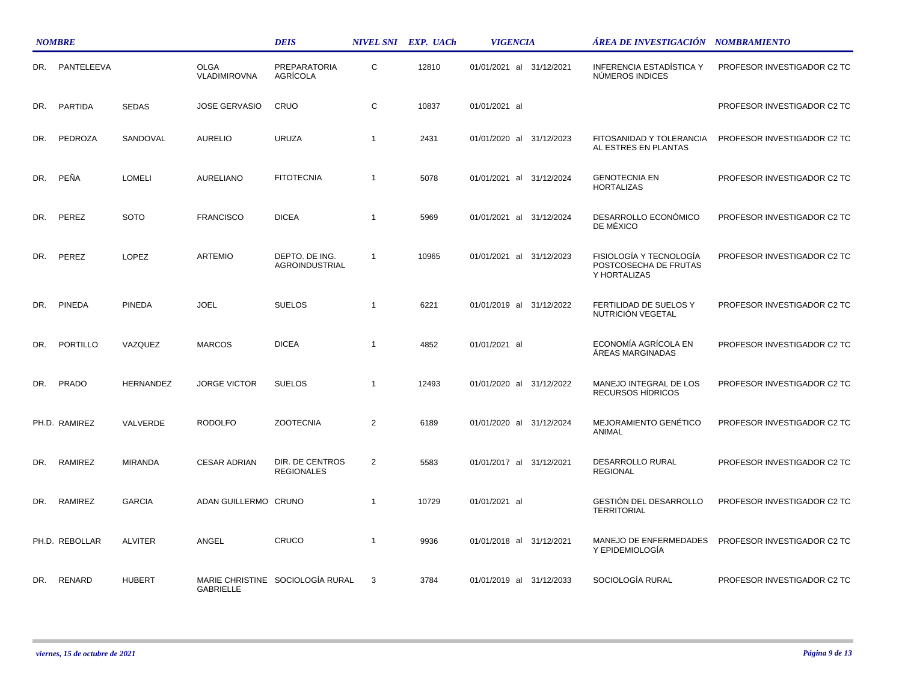|     | <b>NOMBRE</b>  |                  |                                    | <b>DEIS</b>                             |                | NIVEL SNI EXP. UACh | <b>VIGENCIA</b>          | ÁREA DE INVESTIGACIÓN    NOMBRAMIENTO                            |                             |
|-----|----------------|------------------|------------------------------------|-----------------------------------------|----------------|---------------------|--------------------------|------------------------------------------------------------------|-----------------------------|
| DR. | PANTELEEVA     |                  | <b>OLGA</b><br><b>VLADIMIROVNA</b> | PREPARATORIA<br>AGRÍCOLA                | C              | 12810               | 01/01/2021 al 31/12/2021 | INFERENCIA ESTADÍSTICA Y<br>NÚMEROS INDICES                      | PROFESOR INVESTIGADOR C2 TC |
| DR. | <b>PARTIDA</b> | <b>SEDAS</b>     | <b>JOSE GERVASIO</b>               | CRUO                                    | C              | 10837               | 01/01/2021 al            |                                                                  | PROFESOR INVESTIGADOR C2 TC |
| DR. | PEDROZA        | SANDOVAL         | <b>AURELIO</b>                     | <b>URUZA</b>                            | $\mathbf{1}$   | 2431                | 01/01/2020 al 31/12/2023 | FITOSANIDAD Y TOLERANCIA<br>AL ESTRES EN PLANTAS                 | PROFESOR INVESTIGADOR C2 TC |
| DR. | PEÑA           | <b>LOMELI</b>    | AURELIANO                          | <b>FITOTECNIA</b>                       | $\overline{1}$ | 5078                | 01/01/2021 al 31/12/2024 | <b>GENOTECNIA EN</b><br><b>HORTALIZAS</b>                        | PROFESOR INVESTIGADOR C2 TC |
| DR. | PEREZ          | <b>SOTO</b>      | <b>FRANCISCO</b>                   | <b>DICEA</b>                            | $\overline{1}$ | 5969                | 01/01/2021 al 31/12/2024 | DESARROLLO ECONÓMICO<br>DE MÉXICO                                | PROFESOR INVESTIGADOR C2 TC |
| DR. | PEREZ          | LOPEZ            | <b>ARTEMIO</b>                     | DEPTO. DE ING.<br><b>AGROINDUSTRIAL</b> | $\overline{1}$ | 10965               | 01/01/2021 al 31/12/2023 | FISIOLOGÍA Y TECNOLOGÍA<br>POSTCOSECHA DE FRUTAS<br>Y HORTALIZAS | PROFESOR INVESTIGADOR C2 TC |
| DR. | <b>PINEDA</b>  | <b>PINEDA</b>    | <b>JOEL</b>                        | <b>SUELOS</b>                           | $\overline{1}$ | 6221                | 01/01/2019 al 31/12/2022 | FERTILIDAD DE SUELOS Y<br>NUTRICIÓN VEGETAL                      | PROFESOR INVESTIGADOR C2 TC |
| DR. | PORTILLO       | VAZQUEZ          | <b>MARCOS</b>                      | <b>DICEA</b>                            | $\overline{1}$ | 4852                | 01/01/2021 al            | ECONOMÍA AGRÍCOLA EN<br>ÁREAS MARGINADAS                         | PROFESOR INVESTIGADOR C2 TC |
| DR. | PRADO          | <b>HERNANDEZ</b> | <b>JORGE VICTOR</b>                | <b>SUELOS</b>                           | $\mathbf{1}$   | 12493               | 01/01/2020 al 31/12/2022 | MANEJO INTEGRAL DE LOS<br>RECURSOS HIDRICOS                      | PROFESOR INVESTIGADOR C2 TC |
|     | PH.D. RAMIREZ  | VALVERDE         | <b>RODOLFO</b>                     | <b>ZOOTECNIA</b>                        | 2              | 6189                | 01/01/2020 al 31/12/2024 | MEJORAMIENTO GENÉTICO<br>ANIMAL                                  | PROFESOR INVESTIGADOR C2 TC |
| DR. | <b>RAMIREZ</b> | <b>MIRANDA</b>   | <b>CESAR ADRIAN</b>                | DIR. DE CENTROS<br><b>REGIONALES</b>    | 2              | 5583                | 01/01/2017 al 31/12/2021 | DESARROLLO RURAL<br><b>REGIONAL</b>                              | PROFESOR INVESTIGADOR C2 TC |
| DR. | RAMIREZ        | <b>GARCIA</b>    | ADAN GUILLERMO CRUNO               |                                         | $\overline{1}$ | 10729               | 01/01/2021 al            | GESTIÓN DEL DESARROLLO<br><b>TERRITORIAL</b>                     | PROFESOR INVESTIGADOR C2 TC |
|     | PH.D. REBOLLAR | <b>ALVITER</b>   | ANGEL                              | CRUCO                                   | $\overline{1}$ | 9936                | 01/01/2018 al 31/12/2021 | MANEJO DE ENFERMEDADES<br>Y EPIDEMIOLOGÍA                        | PROFESOR INVESTIGADOR C2 TC |
| DR. | RENARD         | <b>HUBERT</b>    | <b>GABRIELLE</b>                   | MARIE CHRISTINE SOCIOLOGÍA RURAL        | 3              | 3784                | 01/01/2019 al 31/12/2033 | SOCIOLOGÍA RURAL                                                 | PROFESOR INVESTIGADOR C2 TC |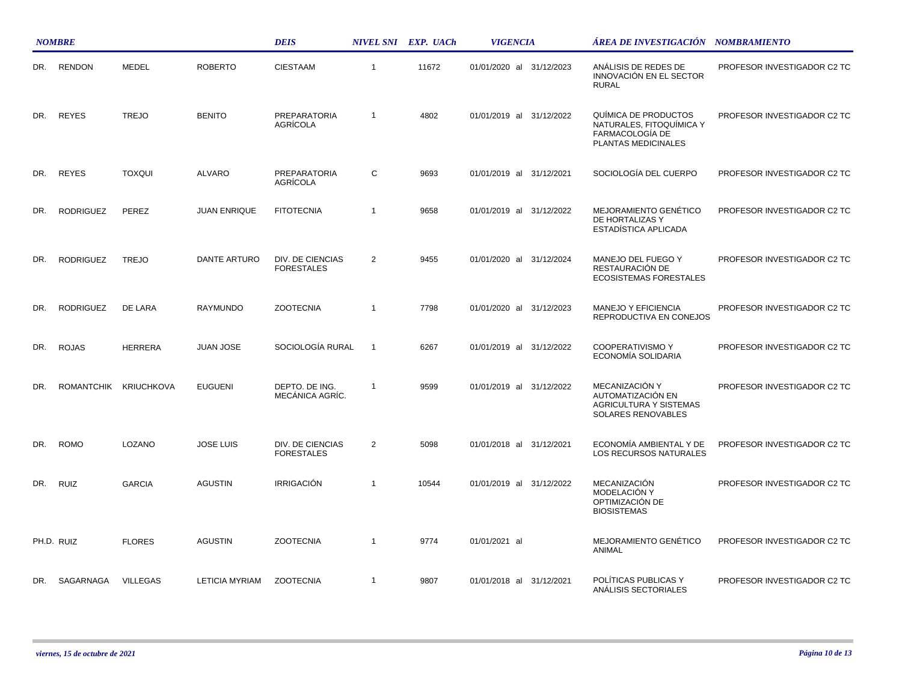|     | <b>NOMBRE</b>    |                       |                       | <b>DEIS</b>                            |                | NIVEL SNI EXP. UACh | <b>VIGENCIA</b>             | ÁREA DE INVESTIGACIÓN NOMBRAMIENTO                                                         |                             |
|-----|------------------|-----------------------|-----------------------|----------------------------------------|----------------|---------------------|-----------------------------|--------------------------------------------------------------------------------------------|-----------------------------|
| DR. | <b>RENDON</b>    | <b>MEDEL</b>          | <b>ROBERTO</b>        | <b>CIESTAAM</b>                        | $\mathbf{1}$   | 11672               | 01/01/2020 al 31/12/2023    | ANÁLISIS DE REDES DE<br>INNOVACIÓN EN EL SECTOR<br><b>RURAL</b>                            | PROFESOR INVESTIGADOR C2 TC |
| DR. | <b>REYES</b>     | <b>TREJO</b>          | <b>BENITO</b>         | <b>PREPARATORIA</b><br><b>AGRÍCOLA</b> | $\mathbf{1}$   | 4802                | 01/01/2019 al<br>31/12/2022 | QUÍMICA DE PRODUCTOS<br>NATURALES, FITOQUÍMICA Y<br>FARMACOLOGÍA DE<br>PLANTAS MEDICINALES | PROFESOR INVESTIGADOR C2 TC |
| DR. | <b>REYES</b>     | <b>TOXQUI</b>         | <b>ALVARO</b>         | <b>PREPARATORIA</b><br><b>AGRÍCOLA</b> | C              | 9693                | 01/01/2019 al 31/12/2021    | SOCIOLOGÍA DEL CUERPO                                                                      | PROFESOR INVESTIGADOR C2 TC |
| DR. | <b>RODRIGUEZ</b> | PEREZ                 | <b>JUAN ENRIQUE</b>   | <b>FITOTECNIA</b>                      | $\mathbf{1}$   | 9658                | 01/01/2019 al 31/12/2022    | <b>MEJORAMIENTO GENÉTICO</b><br>DE HORTALIZAS Y<br>ESTADÍSTICA APLICADA                    | PROFESOR INVESTIGADOR C2 TC |
| DR. | <b>RODRIGUEZ</b> | <b>TREJO</b>          | <b>DANTE ARTURO</b>   | DIV. DE CIENCIAS<br><b>FORESTALES</b>  | 2              | 9455                | 01/01/2020 al 31/12/2024    | MANEJO DEL FUEGO Y<br>RESTAURACIÓN DE<br><b>ECOSISTEMAS FORESTALES</b>                     | PROFESOR INVESTIGADOR C2 TC |
| DR. | <b>RODRIGUEZ</b> | DE LARA               | <b>RAYMUNDO</b>       | <b>ZOOTECNIA</b>                       | $\overline{1}$ | 7798                | 01/01/2020 al 31/12/2023    | <b>MANEJO Y EFICIENCIA</b><br>REPRODUCTIVA EN CONEJOS                                      | PROFESOR INVESTIGADOR C2 TC |
| DR. | <b>ROJAS</b>     | <b>HERRERA</b>        | <b>JUAN JOSE</b>      | SOCIOLOGÍA RURAL                       | $\overline{1}$ | 6267                | 01/01/2019 al 31/12/2022    | <b>COOPERATIVISMO Y</b><br>ECONOMÍA SOLIDARIA                                              | PROFESOR INVESTIGADOR C2 TC |
| DR. |                  | ROMANTCHIK KRIUCHKOVA | <b>EUGUENI</b>        | DEPTO. DE ING.<br>MECÁNICA AGRÍC.      | $\mathbf{1}$   | 9599                | 01/01/2019 al 31/12/2022    | MECANIZACIÓN Y<br>AUTOMATIZACIÓN EN<br><b>AGRICULTURA Y SISTEMAS</b><br>SOLARES RENOVABLES | PROFESOR INVESTIGADOR C2 TC |
| DR. | <b>ROMO</b>      | <b>LOZANO</b>         | <b>JOSE LUIS</b>      | DIV. DE CIENCIAS<br><b>FORESTALES</b>  | 2              | 5098                | 01/01/2018 al 31/12/2021    | ECONOMÍA AMBIENTAL Y DE<br>LOS RECURSOS NATURALES                                          | PROFESOR INVESTIGADOR C2 TC |
| DR. | <b>RUIZ</b>      | <b>GARCIA</b>         | <b>AGUSTIN</b>        | <b>IRRIGACIÓN</b>                      | $\mathbf{1}$   | 10544               | 01/01/2019 al 31/12/2022    | MECANIZACIÓN<br>MODELACIÓN Y<br>OPTIMIZACIÓN DE<br><b>BIOSISTEMAS</b>                      | PROFESOR INVESTIGADOR C2 TC |
|     | PH.D. RUIZ       | <b>FLORES</b>         | <b>AGUSTIN</b>        | <b>ZOOTECNIA</b>                       | $\mathbf{1}$   | 9774                | 01/01/2021 al               | MEJORAMIENTO GENÉTICO<br>ANIMAL                                                            | PROFESOR INVESTIGADOR C2 TC |
| DR. | SAGARNAGA        | <b>VILLEGAS</b>       | <b>LETICIA MYRIAM</b> | <b>ZOOTECNIA</b>                       | $\mathbf{1}$   | 9807                | 01/01/2018 al 31/12/2021    | POLÍTICAS PUBLICAS Y<br>ANALISIS SECTORIALES                                               | PROFESOR INVESTIGADOR C2 TC |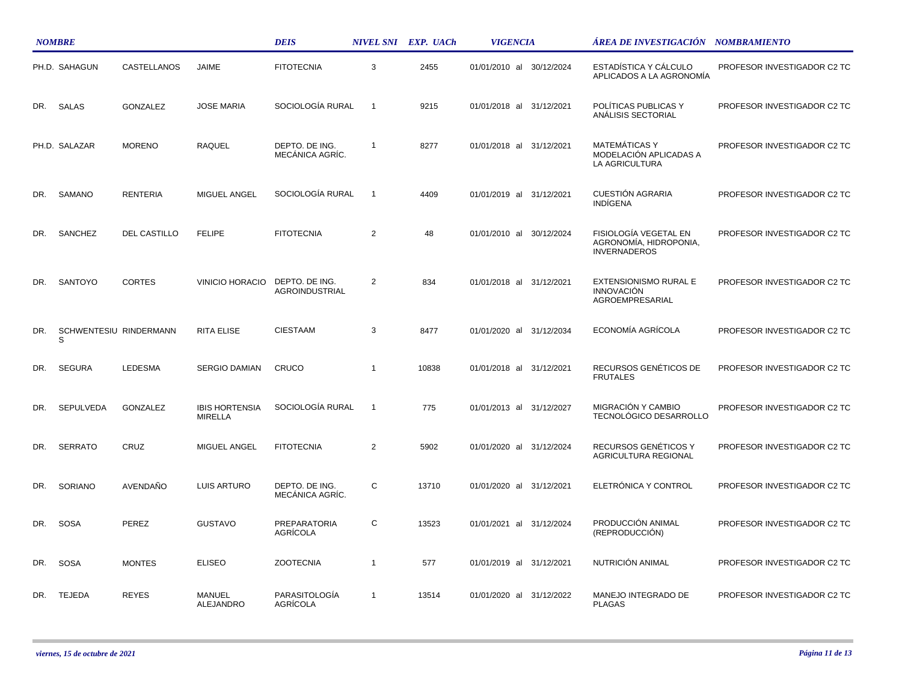|     | <b>NOMBRE</b>               |                     |                                  | <b>DEIS</b>                             |                | NIVEL SNI EXP. UACh | <b>VIGENCIA</b>             | ÁREA DE INVESTIGACIÓN NOMBRAMIENTO                                     |                             |
|-----|-----------------------------|---------------------|----------------------------------|-----------------------------------------|----------------|---------------------|-----------------------------|------------------------------------------------------------------------|-----------------------------|
|     | PH.D. SAHAGUN               | CASTELLANOS         | <b>JAIME</b>                     | <b>FITOTECNIA</b>                       | 3              | 2455                | 01/01/2010 al 30/12/2024    | ESTADÍSTICA Y CÁLCULO<br>APLICADOS A LA AGRONOMÍA                      | PROFESOR INVESTIGADOR C2 TC |
| DR. | SALAS                       | GONZALEZ            | <b>JOSE MARIA</b>                | SOCIOLOGÍA RURAL                        | $\overline{1}$ | 9215                | 01/01/2018 al 31/12/2021    | POLÍTICAS PUBLICAS Y<br>ANÁLISIS SECTORIAL                             | PROFESOR INVESTIGADOR C2 TC |
|     | PH.D. SALAZAR               | <b>MORENO</b>       | <b>RAQUEL</b>                    | DEPTO. DE ING.<br>MECÁNICA AGRÍC.       | $\overline{1}$ | 8277                | 01/01/2018 al<br>31/12/2021 | <b>MATEMÁTICAS Y</b><br>MODELACIÓN APLICADAS A<br>LA AGRICULTURA       | PROFESOR INVESTIGADOR C2 TC |
| DR. | SAMANO                      | <b>RENTERIA</b>     | MIGUEL ANGEL                     | SOCIOLOGÍA RURAL                        | -1             | 4409                | 01/01/2019 al<br>31/12/2021 | <b>CUESTIÓN AGRARIA</b><br><b>INDIGENA</b>                             | PROFESOR INVESTIGADOR C2 TC |
| DR. | SANCHEZ                     | <b>DEL CASTILLO</b> | <b>FELIPE</b>                    | <b>FITOTECNIA</b>                       | $\overline{c}$ | 48                  | 01/01/2010 al<br>30/12/2024 | FISIOLOGÍA VEGETAL EN<br>AGRONOMÍA, HIDROPONIA,<br><b>INVERNADEROS</b> | PROFESOR INVESTIGADOR C2 TC |
| DR. | <b>SANTOYO</b>              | <b>CORTES</b>       | <b>VINICIO HORACIO</b>           | DEPTO. DE ING.<br><b>AGROINDUSTRIAL</b> | $\overline{2}$ | 834                 | 01/01/2018 al 31/12/2021    | EXTENSIONISMO RURAL E<br><b>INNOVACIÓN</b><br><b>AGROEMPRESARIAL</b>   | PROFESOR INVESTIGADOR C2 TC |
| DR. | SCHWENTESIU RINDERMANN<br>S |                     | <b>RITA ELISE</b>                | <b>CIESTAAM</b>                         | 3              | 8477                | 01/01/2020 al 31/12/2034    | ECONOMÍA AGRÍCOLA                                                      | PROFESOR INVESTIGADOR C2 TC |
| DR. | <b>SEGURA</b>               | LEDESMA             | <b>SERGIO DAMIAN</b>             | CRUCO                                   | $\overline{1}$ | 10838               | 01/01/2018 al 31/12/2021    | RECURSOS GENÉTICOS DE<br><b>FRUTALES</b>                               | PROFESOR INVESTIGADOR C2 TC |
| DR. | <b>SEPULVEDA</b>            | <b>GONZALEZ</b>     | <b>IBIS HORTENSIA</b><br>MIRELLA | SOCIOLOGÍA RURAL                        | $\overline{1}$ | 775                 | 01/01/2013 al 31/12/2027    | MIGRACIÓN Y CAMBIO<br>TECNOLÓGICO DESARROLLO                           | PROFESOR INVESTIGADOR C2 TC |
| DR. | <b>SERRATO</b>              | CRUZ                | MIGUEL ANGEL                     | <b>FITOTECNIA</b>                       | $\overline{2}$ | 5902                | 01/01/2020 al 31/12/2024    | RECURSOS GENÉTICOS Y<br>AGRICULTURA REGIONAL                           | PROFESOR INVESTIGADOR C2 TC |
| DR. | SORIANO                     | AVENDAÑO            | LUIS ARTURO                      | DEPTO. DE ING.<br>MECÁNICA AGRÍC.       | C              | 13710               | 01/01/2020 al 31/12/2021    | ELETRÓNICA Y CONTROL                                                   | PROFESOR INVESTIGADOR C2 TC |
| DR. | <b>SOSA</b>                 | PEREZ               | <b>GUSTAVO</b>                   | PREPARATORIA<br><b>AGRICOLA</b>         | С              | 13523               | 01/01/2021 al 31/12/2024    | PRODUCCIÓN ANIMAL<br>(REPRODUCCIÓN)                                    | PROFESOR INVESTIGADOR C2 TC |
| DR. | <b>SOSA</b>                 | <b>MONTES</b>       | <b>ELISEO</b>                    | <b>ZOOTECNIA</b>                        | $\overline{1}$ | 577                 | 01/01/2019 al 31/12/2021    | NUTRICIÓN ANIMAL                                                       | PROFESOR INVESTIGADOR C2 TC |
| DR. | <b>TEJEDA</b>               | <b>REYES</b>        | MANUEL<br>ALEJANDRO              | PARASITOLOGÍA<br>AGRÍCOLA               | $\overline{1}$ | 13514               | 01/01/2020 al 31/12/2022    | MANEJO INTEGRADO DE<br><b>PLAGAS</b>                                   | PROFESOR INVESTIGADOR C2 TC |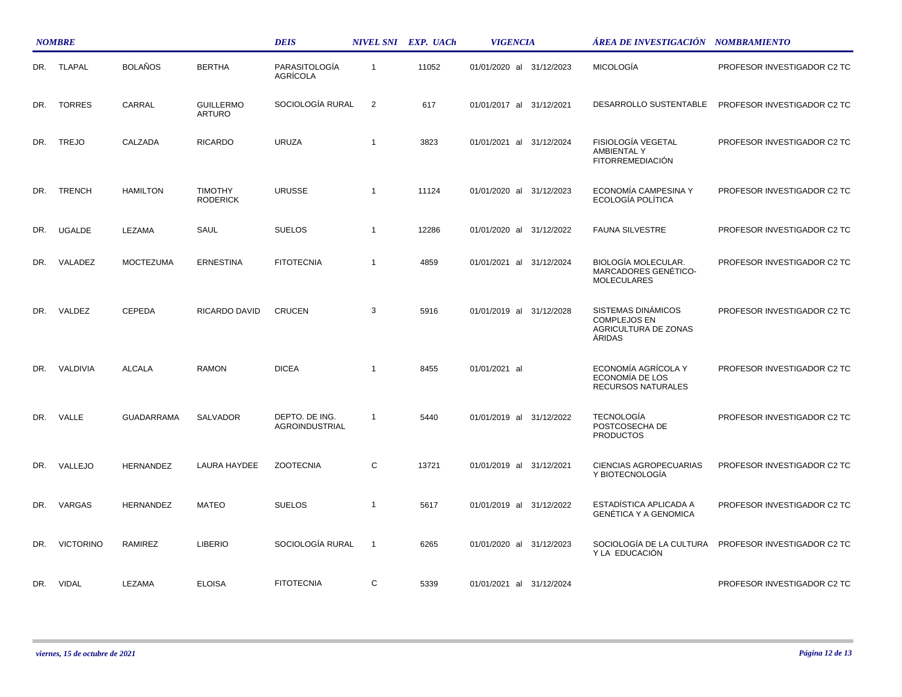|     | <b>NOMBRE</b>    |                   |                                   | <b>DEIS</b>                      |                | NIVEL SNI EXP. UACh | <b>VIGENCIA</b>          | ÁREA DE INVESTIGACIÓN NOMBRAMIENTO                                                 |                             |  |
|-----|------------------|-------------------|-----------------------------------|----------------------------------|----------------|---------------------|--------------------------|------------------------------------------------------------------------------------|-----------------------------|--|
|     | DR. TLAPAL       | <b>BOLAÑOS</b>    | <b>BERTHA</b>                     | PARASITOLOGÍA<br><b>AGRICOLA</b> | $\overline{1}$ | 11052               | 01/01/2020 al 31/12/2023 | <b>MICOLOGÍA</b>                                                                   | PROFESOR INVESTIGADOR C2 TC |  |
| DR. | <b>TORRES</b>    | CARRAL            | <b>GUILLERMO</b><br><b>ARTURO</b> | SOCIOLOGÍA RURAL                 | 2              | 617                 | 01/01/2017 al 31/12/2021 | DESARROLLO SUSTENTABLE                                                             | PROFESOR INVESTIGADOR C2 TC |  |
| DR. | <b>TREJO</b>     | CALZADA           | <b>RICARDO</b>                    | <b>URUZA</b>                     | $\overline{1}$ | 3823                | 01/01/2021 al 31/12/2024 | FISIOLOGÍA VEGETAL<br>AMBIENTAL Y<br><b>FITORREMEDIACIÓN</b>                       | PROFESOR INVESTIGADOR C2 TC |  |
| DR. | <b>TRENCH</b>    | <b>HAMILTON</b>   | <b>TIMOTHY</b><br><b>RODERICK</b> | <b>URUSSE</b>                    | $\overline{1}$ | 11124               | 01/01/2020 al 31/12/2023 | ECONOMÍA CAMPESINA Y<br>ECOLOGÍA POLÍTICA                                          | PROFESOR INVESTIGADOR C2 TC |  |
| DR. | <b>UGALDE</b>    | LEZAMA            | SAUL                              | <b>SUELOS</b>                    | $\overline{1}$ | 12286               | 01/01/2020 al 31/12/2022 | <b>FAUNA SILVESTRE</b>                                                             | PROFESOR INVESTIGADOR C2 TC |  |
| DR. | VALADEZ          | <b>MOCTEZUMA</b>  | <b>ERNESTINA</b>                  | <b>FITOTECNIA</b>                | $\overline{1}$ | 4859                | 01/01/2021 al 31/12/2024 | <b>BIOLOGÍA MOLECULAR.</b><br>MARCADORES GENÉTICO-<br><b>MOLECULARES</b>           | PROFESOR INVESTIGADOR C2 TC |  |
| DR. | VALDEZ           | <b>CEPEDA</b>     | RICARDO DAVID                     | <b>CRUCEN</b>                    | 3              | 5916                | 01/01/2019 al 31/12/2028 | SISTEMAS DINÁMICOS<br><b>COMPLEJOS EN</b><br>AGRICULTURA DE ZONAS<br><b>ARIDAS</b> | PROFESOR INVESTIGADOR C2 TC |  |
| DR. | VALDIVIA         | <b>ALCALA</b>     | <b>RAMON</b>                      | <b>DICEA</b>                     | $\overline{1}$ | 8455                | 01/01/2021 al            | ECONOMÍA AGRÍCOLA Y<br>ECONOMÍA DE LOS<br>RECURSOS NATURALES                       | PROFESOR INVESTIGADOR C2 TC |  |
| DR. | VALLE            | <b>GUADARRAMA</b> | <b>SALVADOR</b>                   | DEPTO. DE ING.<br>AGROINDUSTRIAL | $\overline{1}$ | 5440                | 01/01/2019 al 31/12/2022 | <b>TECNOLOGÍA</b><br>POSTCOSECHA DE<br><b>PRODUCTOS</b>                            | PROFESOR INVESTIGADOR C2 TC |  |
| DR. | VALLEJO          | <b>HERNANDEZ</b>  | LAURA HAYDEE                      | <b>ZOOTECNIA</b>                 | C              | 13721               | 01/01/2019 al 31/12/2021 | <b>CIENCIAS AGROPECUARIAS</b><br>Y BIOTECNOLOGÍA                                   | PROFESOR INVESTIGADOR C2 TC |  |
| DR. | VARGAS           | <b>HERNANDEZ</b>  | <b>MATEO</b>                      | <b>SUELOS</b>                    | $\overline{1}$ | 5617                | 01/01/2019 al 31/12/2022 | ESTADÍSTICA APLICADA A<br><b>GENÉTICA Y A GENOMICA</b>                             | PROFESOR INVESTIGADOR C2 TC |  |
| DR. | <b>VICTORINO</b> | RAMIREZ           | <b>LIBERIO</b>                    | SOCIOLOGÍA RURAL                 | $\overline{1}$ | 6265                | 01/01/2020 al 31/12/2023 | SOCIOLOGÍA DE LA CULTURA<br>Y LA EDUCACIÓN                                         | PROFESOR INVESTIGADOR C2 TC |  |
|     | DR. VIDAL        | LEZAMA            | <b>ELOISA</b>                     | <b>FITOTECNIA</b>                | C              | 5339                | 01/01/2021 al 31/12/2024 |                                                                                    | PROFESOR INVESTIGADOR C2 TC |  |